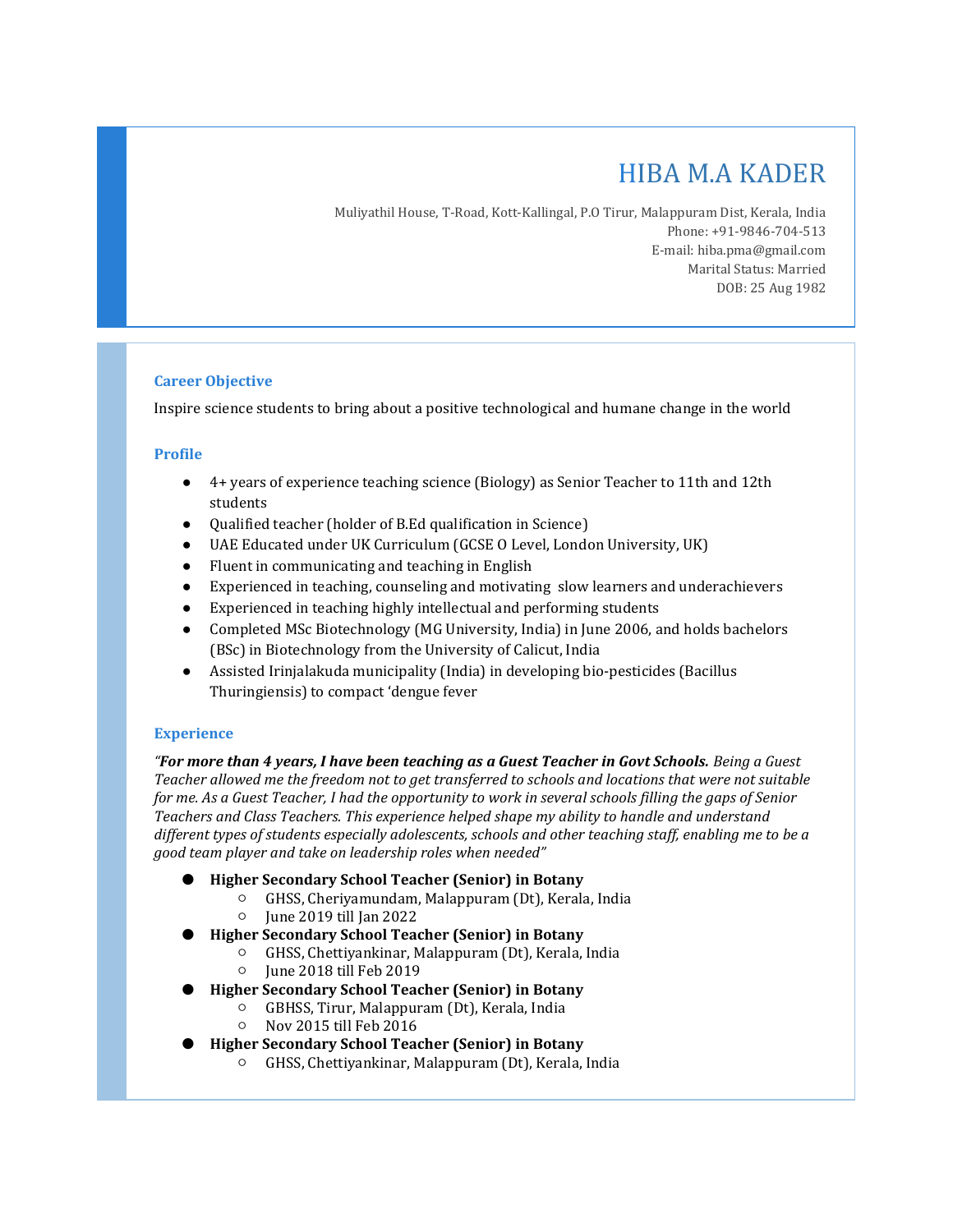# HIBA M.A KADER

Muliyathil House, T-Road, Kott-Kallingal, P.O Tirur, Malappuram Dist, Kerala, India Phone: +91-9846-704-513 E-mail: hiba.pma@gmail.com Marital Status: Married DOB: 25 Aug 1982

## Career Objective

Inspire science students to bring about a positive technological and humane change in the world

## Profile

- 4+ years of experience teaching science (Biology) as Senior Teacher to 11th and 12th students
- Qualified teacher (holder of B.Ed qualification in Science)
- UAE Educated under UK Curriculum (GCSE O Level, London University, UK)
- Fluent in communicating and teaching in English
- Experienced in teaching, counseling and motivating slow learners and underachievers
- Experienced in teaching highly intellectual and performing students
- Completed MSc Biotechnology (MG University, India) in June 2006, and holds bachelors (BSc) in Biotechnology from the University of Calicut, India
- Assisted Irinjalakuda municipality (India) in developing bio-pesticides (Bacillus Thuringiensis) to compact 'dengue fever

## **Experience**

"For more than 4 years, I have been teaching as a Guest Teacher in Govt Schools. Being a Guest Teacher allowed me the freedom not to get transferred to schools and locations that were not suitable for me. As a Guest Teacher, I had the opportunity to work in several schools filling the gaps of Senior Teachers and Class Teachers. This experience helped shape my ability to handle and understand different types of students especially adolescents, schools and other teaching staff, enabling me to be a good team player and take on leadership roles when needed"

- Higher Secondary School Teacher (Senior) in Botany
	- GHSS, Cheriyamundam, Malappuram (Dt), Kerala, India
	- June 2019 till Jan 2022
- Higher Secondary School Teacher (Senior) in Botany
	- GHSS, Chettiyankinar, Malappuram (Dt), Kerala, India
	- June 2018 till Feb 2019
- Higher Secondary School Teacher (Senior) in Botany
	- GBHSS, Tirur, Malappuram (Dt), Kerala, India
	- Nov 2015 till Feb 2016
- Higher Secondary School Teacher (Senior) in Botany
	- GHSS, Chettiyankinar, Malappuram (Dt), Kerala, India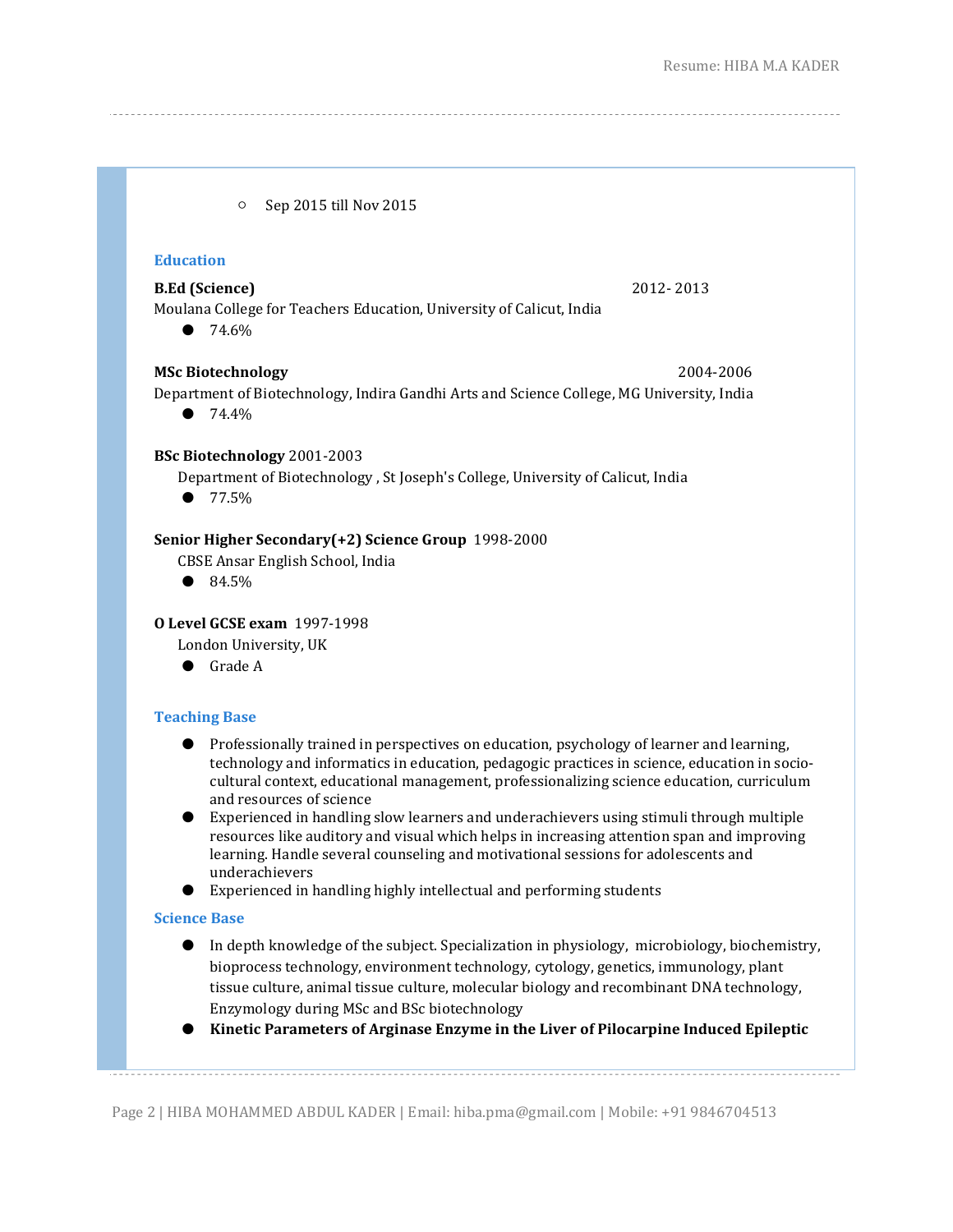○ Sep 2015 till Nov 2015

## Education

## **B.Ed (Science)** 2012-2013

Moulana College for Teachers Education, University of Calicut, India

● 74.6%

#### MSc Biotechnology 2004-2006

Department of Biotechnology, Indira Gandhi Arts and Science College, MG University, India

● 74.4<sup>%</sup>

#### BSc Biotechnology 2001-2003

Department of Biotechnology , St Joseph's College, University of Calicut, India

● 77.5%

#### Senior Higher Secondary(+2) Science Group 1998-2000

- CBSE Ansar English School, India
- 84.5%

## O Level GCSE exam 1997-1998

London University, UK

● Grade A

## Teaching Base

- Professionally trained in perspectives on education, psychology of learner and learning, technology and informatics in education, pedagogic practices in science, education in sociocultural context, educational management, professionalizing science education, curriculum and resources of science
- Experienced in handling slow learners and underachievers using stimuli through multiple resources like auditory and visual which helps in increasing attention span and improving learning. Handle several counseling and motivational sessions for adolescents and underachievers
- Experienced in handling highly intellectual and performing students

#### Science Base

- In depth knowledge of the subject. Specialization in physiology, microbiology, biochemistry, bioprocess technology, environment technology, cytology, genetics, immunology, plant tissue culture, animal tissue culture, molecular biology and recombinant DNA technology, Enzymology during MSc and BSc biotechnology
- Kinetic Parameters of Arginase Enzyme in the Liver of Pilocarpine Induced Epileptic

Page 2 | HIBA MOHAMMED ABDUL KADER | Email: hiba.pma@gmail.com | Mobile: +91 9846704513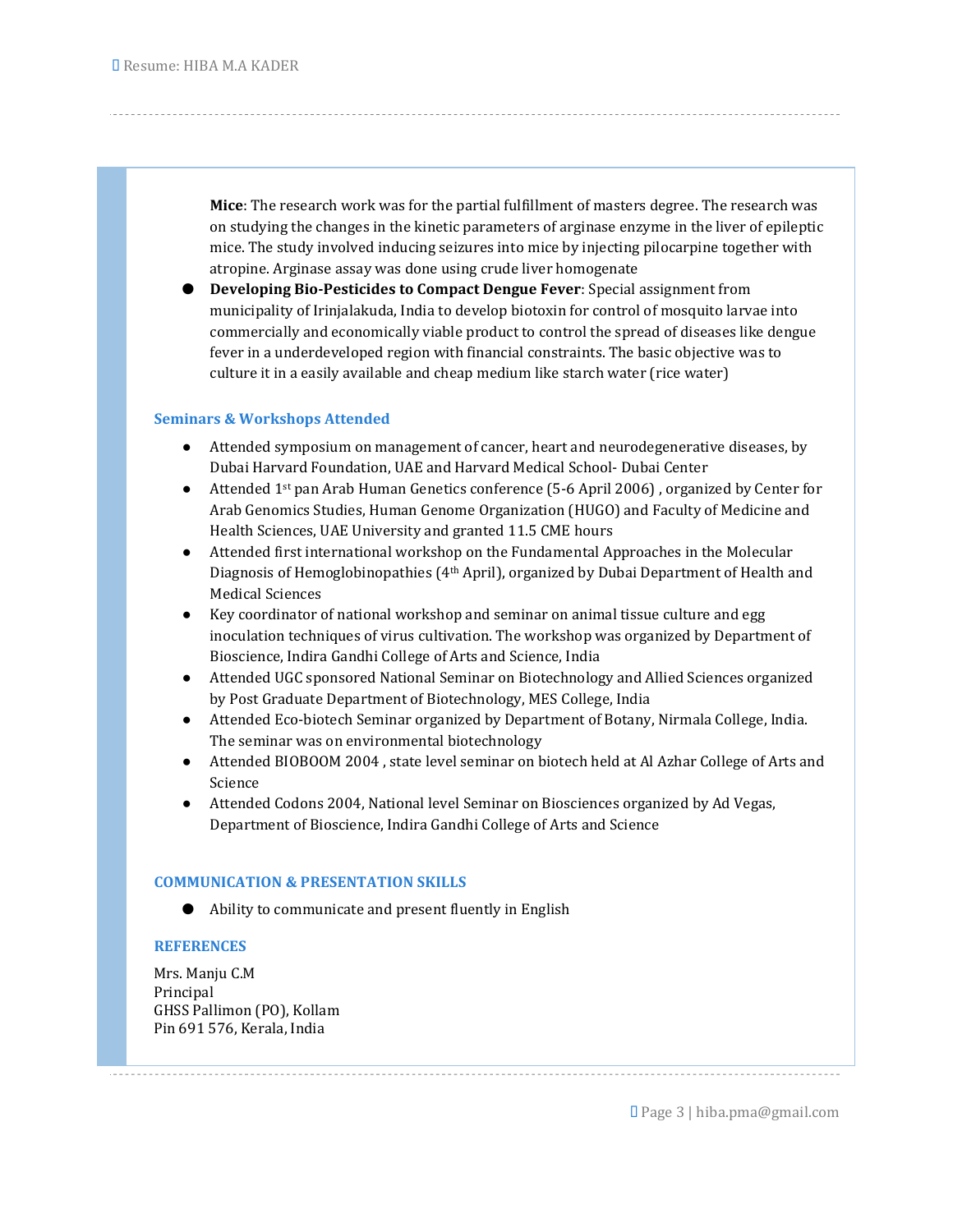Mice: The research work was for the partial fulfillment of masters degree. The research was on studying the changes in the kinetic parameters of arginase enzyme in the liver of epileptic mice. The study involved inducing seizures into mice by injecting pilocarpine together with atropine. Arginase assay was done using crude liver homogenate

Developing Bio-Pesticides to Compact Dengue Fever: Special assignment from municipality of Irinjalakuda, India to develop biotoxin for control of mosquito larvae into commercially and economically viable product to control the spread of diseases like dengue fever in a underdeveloped region with financial constraints. The basic objective was to culture it in a easily available and cheap medium like starch water (rice water)

## Seminars & Workshops Attended

- Attended symposium on management of cancer, heart and neurodegenerative diseases, by Dubai Harvard Foundation, UAE and Harvard Medical School- Dubai Center
- Attended 1<sup>st</sup> pan Arab Human Genetics conference (5-6 April 2006), organized by Center for Arab Genomics Studies, Human Genome Organization (HUGO) and Faculty of Medicine and Health Sciences, UAE University and granted 11.5 CME hours
- Attended first international workshop on the Fundamental Approaches in the Molecular Diagnosis of Hemoglobinopathies (4th April), organized by Dubai Department of Health and Medical Sciences
- Key coordinator of national workshop and seminar on animal tissue culture and egg inoculation techniques of virus cultivation. The workshop was organized by Department of Bioscience, Indira Gandhi College of Arts and Science, India
- Attended UGC sponsored National Seminar on Biotechnology and Allied Sciences organized by Post Graduate Department of Biotechnology, MES College, India
- Attended Eco-biotech Seminar organized by Department of Botany, Nirmala College, India. The seminar was on environmental biotechnology
- Attended BIOBOOM 2004 , state level seminar on biotech held at Al Azhar College of Arts and Science
- Attended Codons 2004, National level Seminar on Biosciences organized by Ad Vegas, Department of Bioscience, Indira Gandhi College of Arts and Science

# COMMUNICATION & PRESENTATION SKILLS

● Ability to communicate and present fluently in English

## **REFERENCES**

Mrs. Manju C.M Principal GHSS Pallimon (PO), Kollam Pin 691 576, Kerala, India

Page 3 | hiba.pma@gmail.com